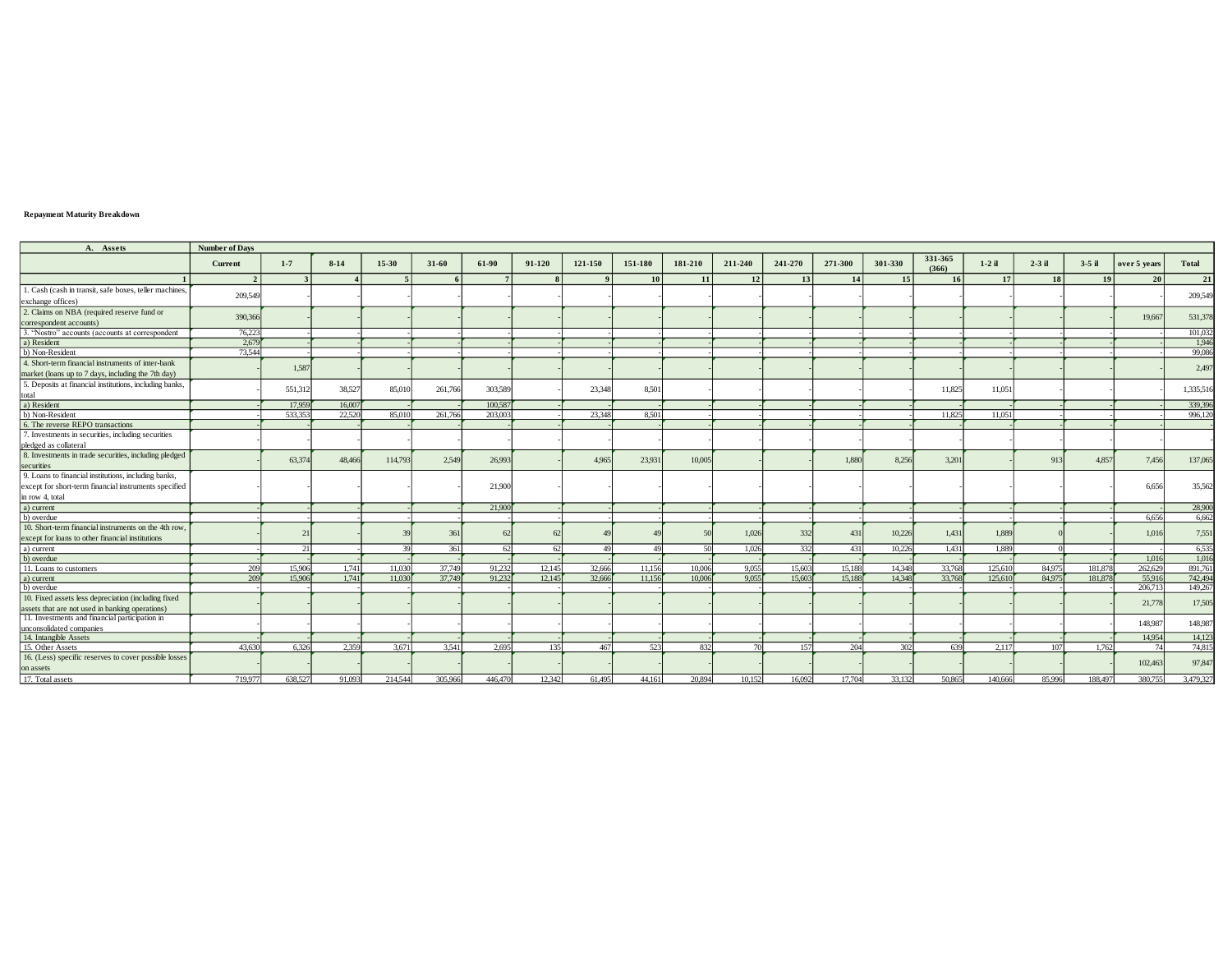## **Repayment Maturity Breakdown**

| A. Assets                                               | <b>Number of Days</b> |         |          |         |           |         |        |         |         |         |         |         |         |         |                  |          |          |          |              |              |
|---------------------------------------------------------|-----------------------|---------|----------|---------|-----------|---------|--------|---------|---------|---------|---------|---------|---------|---------|------------------|----------|----------|----------|--------------|--------------|
|                                                         | Current               | $1-7$   | $8 - 14$ | 15-30   | $31 - 60$ | 61-90   | 91-120 | 121-150 | 151-180 | 181-210 | 211-240 | 241-270 | 271-300 | 301-330 | 331-365<br>(366) | $1-2$ il | $2-3$ il | $3-5$ il | over 5 years | <b>Total</b> |
|                                                         | $\gamma$              |         |          |         |           |         |        |         | 10      | 11      | 12      | 13      | 14      | 15      | 16               | 17       | 18       | 19       | 20           | 21           |
| 1. Cash (cash in transit, safe boxes, teller machines,  |                       |         |          |         |           |         |        |         |         |         |         |         |         |         |                  |          |          |          |              |              |
| exchange offices)                                       | 209,549               |         |          |         |           |         |        |         |         |         |         |         |         |         |                  |          |          |          |              | 209,549      |
| 2. Claims on NBA (required reserve fund or              |                       |         |          |         |           |         |        |         |         |         |         |         |         |         |                  |          |          |          |              |              |
| correspondent accounts)                                 | 390,366               |         |          |         |           |         |        |         |         |         |         |         |         |         |                  |          |          |          | 19,667       | 531,378      |
| 3. "Nostro" accounts (accounts at correspondent         | 76,223                |         |          |         |           |         |        |         |         |         |         |         |         |         |                  |          |          |          |              | 101,03       |
| a) Resident                                             | 2,679                 |         |          |         |           |         |        |         |         |         |         |         |         |         |                  |          |          |          |              | 1,946        |
| b) Non-Resident                                         | 73,544                |         |          |         |           |         |        |         |         |         |         |         |         |         |                  |          |          |          |              | 99,086       |
| 4. Short-term financial instruments of inter-bank       |                       |         |          |         |           |         |        |         |         |         |         |         |         |         |                  |          |          |          |              | 2,497        |
| market (loans up to 7 days, including the 7th day)      |                       | 1.58    |          |         |           |         |        |         |         |         |         |         |         |         |                  |          |          |          |              |              |
| 5. Deposits at financial institutions, including banks, |                       |         |          |         |           |         |        |         |         |         |         |         |         |         |                  |          |          |          |              |              |
| total                                                   |                       | 551,312 | 38,527   | 85,010  | 261,766   | 303,589 |        | 23,348  | 8,501   |         |         |         |         |         | 11,825           | 11,051   |          |          |              | 1,335,516    |
| a) Resident                                             |                       | 17,959  | 16,007   |         |           | 100,587 |        |         |         |         |         |         |         |         |                  |          |          |          |              | 339,396      |
| b) Non-Resident                                         |                       | 533.35  | 22,520   | 85,010  | 261,766   | 203,003 |        | 23,348  | 8.501   |         |         |         |         |         | 11.825           | 11.051   |          |          |              | 996,120      |
| 6. The reverse REPO transactions                        |                       |         |          |         |           |         |        |         |         |         |         |         |         |         |                  |          |          |          |              |              |
| 7. Investments in securities, including securities      |                       |         |          |         |           |         |        |         |         |         |         |         |         |         |                  |          |          |          |              |              |
| pledged as collateral                                   |                       |         |          |         |           |         |        |         |         |         |         |         |         |         |                  |          |          |          |              |              |
| 8. Investments in trade securities, including pledged   |                       | 63,374  |          | 114,793 | 2,549     |         |        | 4.965   |         |         |         |         |         | 8.256   | 3,201            |          | 913      | 4.857    |              |              |
| securities                                              |                       |         | 48,466   |         |           | 26,993  |        |         | 23,931  | 10,005  |         |         | 1.88    |         |                  |          |          |          | 7,456        | 137,065      |
| 9. Loans to financial institutions, including banks,    |                       |         |          |         |           |         |        |         |         |         |         |         |         |         |                  |          |          |          |              |              |
| except for short-term financial instruments specified   |                       |         |          |         |           | 21,900  |        |         |         |         |         |         |         |         |                  |          |          |          | 6.656        | 35,562       |
| in row 4, total                                         |                       |         |          |         |           |         |        |         |         |         |         |         |         |         |                  |          |          |          |              |              |
| a) current                                              |                       |         |          |         |           | 21,900  |        |         |         |         |         |         |         |         |                  |          |          |          |              | 28,900       |
| b) overdue                                              |                       |         |          |         |           |         |        |         |         |         |         |         |         |         |                  |          |          |          | 6.656        | 6.662        |
| 10. Short-term financial instruments on the 4th row     |                       |         |          |         |           |         |        |         |         |         |         |         |         |         |                  |          |          |          | 1.016        |              |
| except for loans to other financial institutions        |                       |         |          |         | 361       |         | 62     |         |         |         | 1,026   | 332     | 431     | 10,226  | 1,431            | 1,889    |          |          |              | 7,551        |
| a) current                                              |                       | 21      |          | 39      | 361       | 62      | 62     | 49      | 49      | 50      | 1.026   | 332     | 431     | 10.226  | 1,431            | 1.889    |          |          |              | 6,535        |
| b) overdue                                              |                       |         |          |         |           |         |        |         |         |         |         |         |         |         |                  |          |          |          | 1.016        | 1,016        |
| 11. Loans to customers                                  | 209                   | 15,906  | 1,741    | 11,030  | 37,749    | 91,232  | 12,145 | 32,666  | 11,156  | 10,006  | 9,055   | 15,603  | 15,188  | 14,348  | 33,768           | 125,610  | 84,975   | 181,878  | 262,629      | 891,76       |
| a) current                                              | 209                   | 15,906  | 1.741    | 11,030  | 37,749    | 91.232  | 12.145 | 32,666  | 11.156  | 10,006  | 9.055   | 15.603  | 15,188  | 14.348  | 33,768           | 125,610  | 84,975   | 181,87   | 55,916       | 742,494      |
| b) overdue                                              |                       |         |          |         |           |         |        |         |         |         |         |         |         |         |                  |          |          |          | 206,713      | 149,26       |
| 10. Fixed assets less depreciation (including fixed     |                       |         |          |         |           |         |        |         |         |         |         |         |         |         |                  |          |          |          | 21,778       | 17,505       |
| assets that are not used in banking operations)         |                       |         |          |         |           |         |        |         |         |         |         |         |         |         |                  |          |          |          |              |              |
| 11. Investments and financial participation in          |                       |         |          |         |           |         |        |         |         |         |         |         |         |         |                  |          |          |          | 148,987      | 148,987      |
| unconsolidated companies                                |                       |         |          |         |           |         |        |         |         |         |         |         |         |         |                  |          |          |          |              |              |
| 14. Intangible Assets                                   |                       |         |          |         |           |         |        |         |         |         |         |         |         |         |                  |          |          |          | 14.954       | 14,12        |
| 15. Other Assets                                        | 43,630                | 6.326   | 2.359    | 3.671   | 3.541     | 2.695   | 135    | 467     | 523     | 832     | 70      | 157     | 204     | 302     | 639              | 2.117    | 107      | 1.762    | 74           | 74.815       |
| 16. (Less) specific reserves to cover possible losses   |                       |         |          |         |           |         |        |         |         |         |         |         |         |         |                  |          |          |          | 102,463      | 97,847       |
| on assets                                               |                       |         |          |         |           |         |        |         |         |         |         |         |         |         |                  |          |          |          |              |              |
| 17. Total assets                                        | 719.977               | 638.527 | 91.093   | 214.544 | 305.966   | 446.470 | 12.342 | 61.495  | 44.161  | 20.894  | 10152   | 16.092  | 17.704  | 33 132  | 50.865           | 140.666  | 85.996   | 188.497  | 380.755      | 3.479.327    |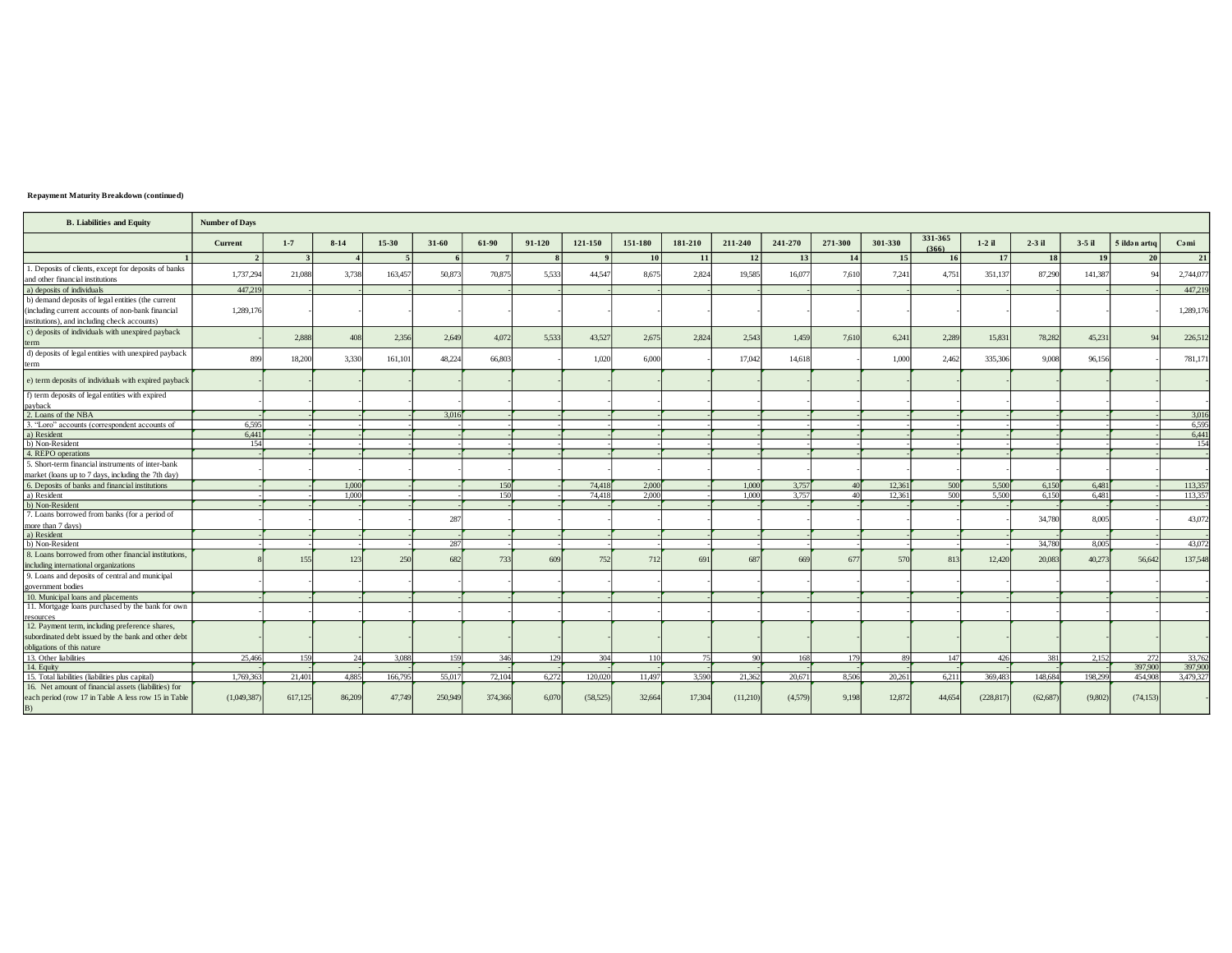## Repayment Maturity Breakdown (continued)

| <b>B.</b> Liabilities and Equity                                                                                  | <b>Number of Days</b> |              |        |         |           |                |              |              |           |         |          |         |         |         |                  |            |           |          |               |           |
|-------------------------------------------------------------------------------------------------------------------|-----------------------|--------------|--------|---------|-----------|----------------|--------------|--------------|-----------|---------|----------|---------|---------|---------|------------------|------------|-----------|----------|---------------|-----------|
|                                                                                                                   | Current               | $1 - 7$      | $8-14$ | 15-30   | $31 - 60$ | 61-90          | 91-120       | 121-150      | 151-180   | 181-210 | 211-240  | 241-270 | 271-300 | 301-330 | 331-365<br>(366) | $1-2$ il   | $2-3$ il  | $3-5$ il | 5 ildən artıq | Cəmi      |
|                                                                                                                   | $\overline{2}$        | $\mathbf{3}$ |        | $\sim$  | 6         | 7 <sup>1</sup> | $\mathbf{8}$ | $\mathbf{Q}$ | <b>10</b> | 11      | 12       | 13      | 14      | 15      | <b>16</b>        | 17         | <b>18</b> | 19       | 20            | 21        |
| 1. Deposits of clients, except for deposits of banks<br>and other financial institutions                          | 1,737,294             | 21,088       | 3.738  | 163,457 | 50,873    | 70,875         | 5.533        | 44.547       | 8.675     | 2,824   | 19.585   | 16,077  | 7.610   | 7,241   | 4.751            | 351,137    | 87.290    | 141.387  |               | 2,744,077 |
| a) deposits of individuals                                                                                        | 447.219               |              |        |         |           |                |              |              |           |         |          |         |         |         |                  |            |           |          |               | 447,219   |
| b) demand deposits of legal entities (the current                                                                 |                       |              |        |         |           |                |              |              |           |         |          |         |         |         |                  |            |           |          |               |           |
| (including current accounts of non-bank financial                                                                 | 1,289,176             |              |        |         |           |                |              |              |           |         |          |         |         |         |                  |            |           |          |               | 1,289,176 |
| institutions), and including check accounts)                                                                      |                       |              |        |         |           |                |              |              |           |         |          |         |         |         |                  |            |           |          |               |           |
| c) deposits of individuals with unexpired payback                                                                 |                       |              |        |         |           |                |              |              |           |         |          |         |         |         |                  |            |           |          |               |           |
| term                                                                                                              |                       | 2,888        | 408    | 2,356   | 2,649     | 4,072          | 5.533        | 43,527       | 2,675     | 2,824   | 2,543    | 1,459   | 7.610   | 6,241   | 2,289            | 15,831     | 78,282    | 45,231   | $\Omega$      | 226,512   |
| d) deposits of legal entities with unexpired payback                                                              |                       |              |        |         |           |                |              |              |           |         |          |         |         |         |                  |            |           |          |               |           |
| term                                                                                                              | 899                   | 18.200       | 3.330  | 161,101 | 48,224    | 66,803         |              | 1.020        | 6,000     |         | 17,042   | 14,618  |         | 1,000   | 2.462            | 335,306    | 9,008     | 96,156   |               | 781,171   |
|                                                                                                                   |                       |              |        |         |           |                |              |              |           |         |          |         |         |         |                  |            |           |          |               |           |
| e) term deposits of individuals with expired payback                                                              |                       |              |        |         |           |                |              |              |           |         |          |         |         |         |                  |            |           |          |               |           |
| f) term deposits of legal entities with expired                                                                   |                       |              |        |         |           |                |              |              |           |         |          |         |         |         |                  |            |           |          |               |           |
| payback                                                                                                           |                       |              |        |         |           |                |              |              |           |         |          |         |         |         |                  |            |           |          |               |           |
| 2. Loans of the NBA                                                                                               |                       |              |        |         | 3,016     |                |              |              |           |         |          |         |         |         |                  |            |           |          |               | 3,016     |
| 3. "Loro" accounts (correspondent accounts of                                                                     | 6,595                 |              |        |         |           |                |              |              |           |         |          |         |         |         |                  |            |           |          |               | 6,595     |
| a) Resident                                                                                                       | 6.441                 |              |        |         |           |                |              |              |           |         |          |         |         |         |                  |            |           |          |               | 6,441     |
| b) Non-Resident                                                                                                   | 154                   |              |        |         |           |                |              |              |           |         |          |         |         |         |                  |            |           |          |               | 154       |
| 4. REPO operations                                                                                                |                       |              |        |         |           |                |              |              |           |         |          |         |         |         |                  |            |           |          |               |           |
| 5. Short-term financial instruments of inter-bank                                                                 |                       |              |        |         |           |                |              |              |           |         |          |         |         |         |                  |            |           |          |               |           |
| market (loans up to 7 days, including the 7th day)                                                                |                       |              |        |         |           |                |              |              |           |         |          |         |         |         |                  |            |           |          |               |           |
| 6. Deposits of banks and financial institutions                                                                   |                       |              | 1,000  |         |           | <b>150</b>     |              | 74,418       | 2,000     |         | 1,000    | 3.757   |         | 12.361  | 500              | 5,500      | 6.150     | 6.481    |               | 113,357   |
| a) Resident                                                                                                       |                       |              | 1,000  |         |           | 150            |              | 74,418       | 2.000     |         | 1.000    | 3.757   |         | 12.361  | 500              | 5.500      | 6.150     | 6.481    |               | 113,357   |
| b) Non-Resident                                                                                                   |                       |              |        |         |           |                |              |              |           |         |          |         |         |         |                  |            |           |          |               | ÷         |
| 7. Loans borrowed from banks (for a period of                                                                     |                       |              |        |         | 287       |                |              |              |           |         |          |         |         |         |                  |            | 34,780    | 8,005    |               | 43,072    |
| more than 7 days)                                                                                                 |                       |              |        |         |           |                |              |              |           |         |          |         |         |         |                  |            |           |          |               |           |
| a) Resident<br>b) Non-Resident                                                                                    |                       |              |        |         | 287       |                |              |              |           |         |          |         |         |         |                  |            | 34,780    | 8.005    |               | 43,072    |
| 8. Loans borrowed from other financial institutions,                                                              |                       |              |        |         |           |                |              |              |           |         |          |         |         |         |                  |            |           |          |               |           |
| including international organizations                                                                             |                       | 155          | 123    | 250     | 682       | 733            | 609          | 752          | 712       | 691     | 687      | 669     | 67      | 570     | 813              | 12.420     | 20,083    | 40,273   | 56,642        | 137,548   |
| 9. Loans and deposits of central and municipal                                                                    |                       |              |        |         |           |                |              |              |           |         |          |         |         |         |                  |            |           |          |               |           |
| government bodies                                                                                                 |                       |              |        |         |           |                |              |              |           |         |          |         |         |         |                  |            |           |          |               |           |
| 10. Municipal loans and placements                                                                                |                       |              |        |         |           |                |              |              |           |         |          |         |         |         |                  |            |           |          |               |           |
| 11. Mortgage loans purchased by the bank for own                                                                  |                       |              |        |         |           |                |              |              |           |         |          |         |         |         |                  |            |           |          |               |           |
| resources                                                                                                         |                       |              |        |         |           |                |              |              |           |         |          |         |         |         |                  |            |           |          |               |           |
| 12. Payment term, including preference shares,                                                                    |                       |              |        |         |           |                |              |              |           |         |          |         |         |         |                  |            |           |          |               |           |
| subordinated debt issued by the bank and other debt                                                               |                       |              |        |         |           |                |              |              |           |         |          |         |         |         |                  |            |           |          |               |           |
| obligations of this nature                                                                                        |                       |              |        |         |           |                |              |              |           |         |          |         |         |         |                  |            |           |          |               |           |
| 13. Other liabilities                                                                                             | 25,466                | 159          | 24     | 3,088   | 159       | 346            | 129          | 304          | 110       | 75      | 90       | 168     | 179     | 89      | 147              | 426        | 381       | 2,152    | 272           | 33,762    |
| 14. Equity                                                                                                        |                       |              |        |         |           |                |              |              |           |         |          |         |         |         |                  |            |           |          | 397.900       | 397,900   |
| 15. Total liabilities (liabilities plus capital)                                                                  | 1,769,363             | 21,401       | 4,885  | 166,795 | 55,017    | 72,104         | 6,272        | 120,020      | 11,497    | 3,590   | 21,362   | 20,671  | 8,506   | 20,261  | 6,211            | 369,483    | 148,684   | 198,299  | 454,908       | 3,479,327 |
| 16. Net amount of financial assets (liabilities) for<br>each period (row 17 in Table A less row 15 in Table<br>B) | (1,049,387)           | 617,125      | 86,209 | 47,749  | 250,949   | 374,366        | 6,070        | (58, 525)    | 32,664    | 17,304  | (11,210) | (4,579) | 9,198   | 12,872  | 44,654           | (228, 817) | (62, 687) | (9,802)  | (74, 153)     |           |
|                                                                                                                   |                       |              |        |         |           |                |              |              |           |         |          |         |         |         |                  |            |           |          |               |           |